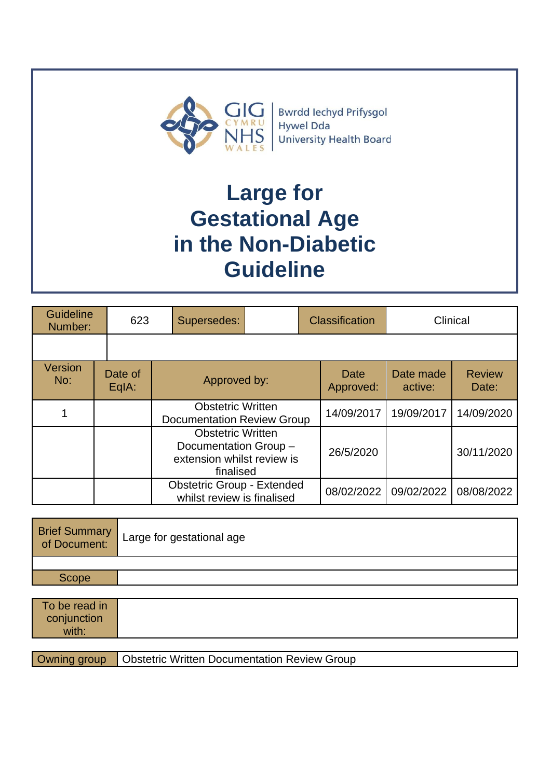

Bwrdd Iechyd Prifysgol Hywel Dda University Health Board

# **Large for Gestational Age in the Non-Diabetic Guideline**

| Guideline<br>Number: | 623              | Supersedes:                                                                                  |  | <b>Classification</b> | Clinical             |                        |
|----------------------|------------------|----------------------------------------------------------------------------------------------|--|-----------------------|----------------------|------------------------|
|                      |                  |                                                                                              |  |                       |                      |                        |
| Version<br>No:       | Date of<br>EqIA: | Approved by:                                                                                 |  | Date<br>Approved:     | Date made<br>active: | <b>Review</b><br>Date: |
|                      |                  | <b>Obstetric Written</b><br><b>Documentation Review Group</b>                                |  | 14/09/2017            | 19/09/2017           | 14/09/2020             |
|                      |                  | <b>Obstetric Written</b><br>Documentation Group -<br>extension whilst review is<br>finalised |  | 26/5/2020             |                      | 30/11/2020             |
|                      |                  | <b>Obstetric Group - Extended</b><br>whilst review is finalised                              |  | 08/02/2022            | 09/02/2022           | 08/08/2022             |

|       | Brief Summary<br>of Document: | Large for gestational age |
|-------|-------------------------------|---------------------------|
|       |                               |                           |
| Scope |                               |                           |

| To be read in<br>conjunction<br>with: |                                                     |
|---------------------------------------|-----------------------------------------------------|
|                                       |                                                     |
| Owning group                          | <b>Obstetric Written Documentation Review Group</b> |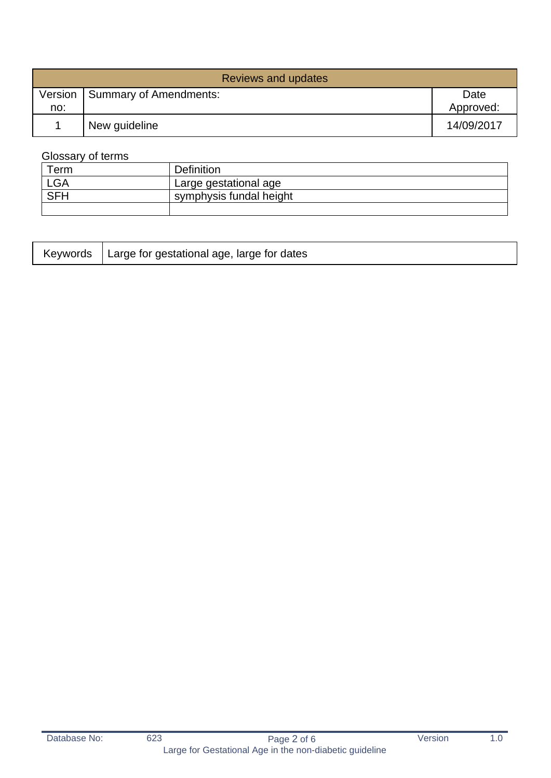| Reviews and updates |                                  |                   |  |  |
|---------------------|----------------------------------|-------------------|--|--|
| no:                 | Version   Summary of Amendments: | Date<br>Approved: |  |  |
|                     | New guideline                    | 14/09/2017        |  |  |

## Glossary of terms

| Term       | <b>Definition</b>       |
|------------|-------------------------|
| <b>LGA</b> | Large gestational age   |
| <b>SFH</b> | symphysis fundal height |
|            |                         |

|  | Keywords   Large for gestational age, large for dates |  |
|--|-------------------------------------------------------|--|
|--|-------------------------------------------------------|--|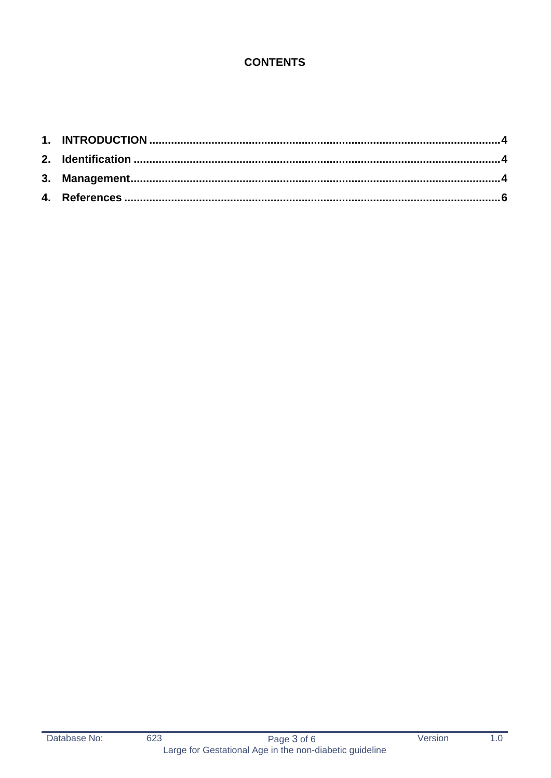# **CONTENTS**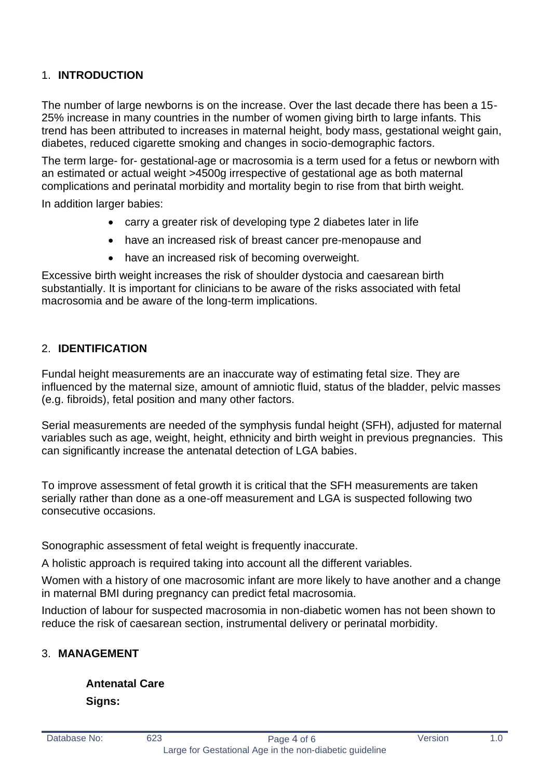## <span id="page-3-0"></span>1. **INTRODUCTION**

The number of large newborns is on the increase. Over the last decade there has been a 15- 25% increase in many countries in the number of women giving birth to large infants. This trend has been attributed to increases in maternal height, body mass, gestational weight gain, diabetes, reduced cigarette smoking and changes in socio-demographic factors.

The term large- for- gestational-age or macrosomia is a term used for a fetus or newborn with an estimated or actual weight >4500g irrespective of gestational age as both maternal complications and perinatal morbidity and mortality begin to rise from that birth weight.

In addition larger babies:

- carry a greater risk of developing type 2 diabetes later in life
- have an increased risk of breast cancer pre-menopause and
- have an increased risk of becoming overweight.

Excessive birth weight increases the risk of shoulder dystocia and caesarean birth substantially. It is important for clinicians to be aware of the risks associated with fetal macrosomia and be aware of the long-term implications.

### <span id="page-3-1"></span>2. **IDENTIFICATION**

Fundal height measurements are an inaccurate way of estimating fetal size. They are influenced by the maternal size, amount of amniotic fluid, status of the bladder, pelvic masses (e.g. fibroids), fetal position and many other factors.

Serial measurements are needed of the symphysis fundal height (SFH), adjusted for maternal variables such as age, weight, height, ethnicity and birth weight in previous pregnancies. This can significantly increase the antenatal detection of LGA babies.

To improve assessment of fetal growth it is critical that the SFH measurements are taken serially rather than done as a one-off measurement and LGA is suspected following two consecutive occasions.

Sonographic assessment of fetal weight is frequently inaccurate.

A holistic approach is required taking into account all the different variables.

Women with a history of one macrosomic infant are more likely to have another and a change in maternal BMI during pregnancy can predict fetal macrosomia.

Induction of labour for suspected macrosomia in non-diabetic women has not been shown to reduce the risk of caesarean section, instrumental delivery or perinatal morbidity.

### <span id="page-3-2"></span>3. **MANAGEMENT**

**Antenatal Care Signs:**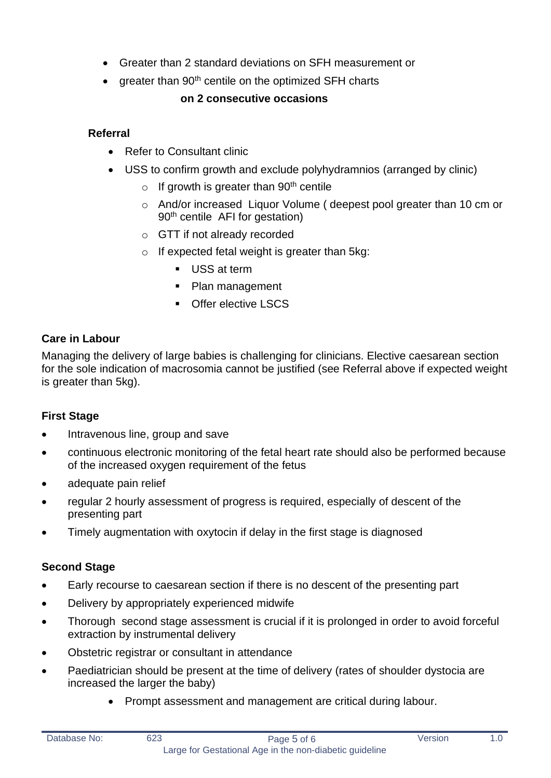- Greater than 2 standard deviations on SFH measurement or
- greater than 90<sup>th</sup> centile on the optimized SFH charts

### **on 2 consecutive occasions**

## **Referral**

- Refer to Consultant clinic
- USS to confirm growth and exclude polyhydramnios (arranged by clinic)
	- $\circ$  If growth is greater than 90<sup>th</sup> centile
	- o And/or increased Liquor Volume ( deepest pool greater than 10 cm or 90th centile AFI for gestation)
	- o GTT if not already recorded
	- o If expected fetal weight is greater than 5kg:
		- USS at term
		- Plan management
		- Offer elective LSCS

## **Care in Labour**

Managing the delivery of large babies is challenging for clinicians. Elective caesarean section for the sole indication of macrosomia cannot be justified (see Referral above if expected weight is greater than 5kg).

## **First Stage**

- Intravenous line, group and save
- continuous electronic monitoring of the fetal heart rate should also be performed because of the increased oxygen requirement of the fetus
- adequate pain relief
- regular 2 hourly assessment of progress is required, especially of descent of the presenting part
- Timely augmentation with oxytocin if delay in the first stage is diagnosed

## **Second Stage**

- Early recourse to caesarean section if there is no descent of the presenting part
- Delivery by appropriately experienced midwife
- Thorough second stage assessment is crucial if it is prolonged in order to avoid forceful extraction by instrumental delivery
- Obstetric registrar or consultant in attendance
- Paediatrician should be present at the time of delivery (rates of shoulder dystocia are increased the larger the baby)
	- Prompt assessment and management are critical during labour.